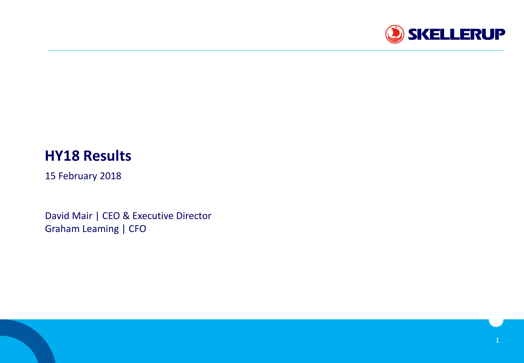

# **HY18 Results**

15 February 2018

David Mair | CEO & Executive Director Graham Leaming | CFO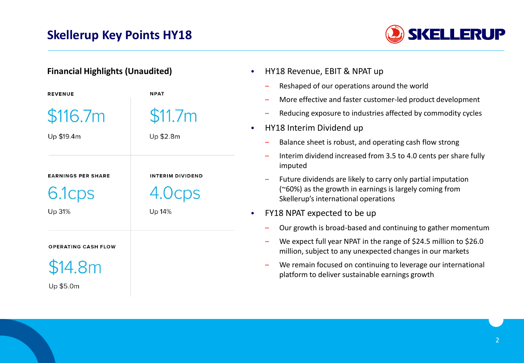## **Skellerup Key Points HY18**



| <b>Financial Highlights (Unaudited)</b> |                         | HY18 Revenue, EBIT & NPAT up<br>$\bullet$                                                                                                                                                                                                      |  |  |
|-----------------------------------------|-------------------------|------------------------------------------------------------------------------------------------------------------------------------------------------------------------------------------------------------------------------------------------|--|--|
| <b>REVENUE</b>                          | <b>NPAT</b>             | Reshaped of our operations around the world<br>More effective and faster customer-led product development                                                                                                                                      |  |  |
| \$116.7m<br>Up \$19.4m                  | \$11.7m<br>Up \$2.8m    | Reducing exposure to industries affected by commodity cycles<br>HY18 Interim Dividend up<br>$\bullet$<br>Balance sheet is robust, and operating cash flow strong                                                                               |  |  |
| <b>EARNINGS PER SHARE</b><br>6.1cps     | <b>INTERIM DIVIDEND</b> | Interim dividend increased from 3.5 to 4.0 cents per share fully<br>imputed<br>Future dividends are likely to carry only partial imputation<br>(~60%) as the growth in earnings is largely coming from<br>Skellerup's international operations |  |  |
| Up 31%<br><b>OPERATING CASH FLOW</b>    | Up 14%                  | FY18 NPAT expected to be up<br>$\bullet$<br>Our growth is broad-based and continuing to gather momentum<br>We expect full year NPAT in the range of \$24.5 million to \$26.0<br>million, subject to any unexpected changes in our markets      |  |  |
| <b>\$14.8m</b><br>Up \$5.0m             |                         | We remain focused on continuing to leverage our international<br>platform to deliver sustainable earnings growth                                                                                                                               |  |  |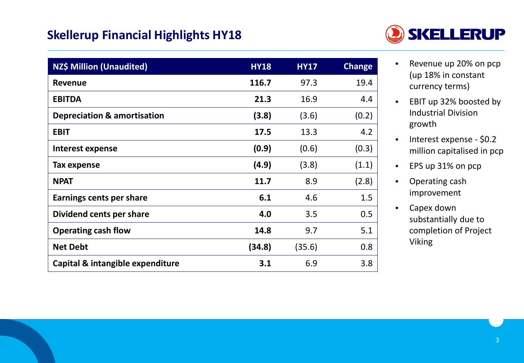### **Skellerup Financial Highlights HY18**



| <b>NZ\$ Million (Unaudited)</b>        | <b>HY18</b> | <b>HY17</b> | <b>Change</b> |
|----------------------------------------|-------------|-------------|---------------|
| <b>Revenue</b>                         | 116.7       | 97.3        | 19.4          |
| <b>EBITDA</b>                          | 21.3        | 16.9        | 4.4           |
| <b>Depreciation &amp; amortisation</b> | (3.8)       | (3.6)       | (0.2)         |
| <b>EBIT</b>                            | 17.5        | 13.3        | 4.2           |
| Interest expense                       | (0.9)       | (0.6)       | (0.3)         |
| Tax expense                            | (4.9)       | (3.8)       | (1.1)         |
| <b>NPAT</b>                            | 11.7        | 8.9         | (2.8)         |
| Earnings cents per share               | 6.1         | 4.6         | 1.5           |
| Dividend cents per share               | 4.0         | 3.5         | 0.5           |
| <b>Operating cash flow</b>             | 14.8        | 9.7         | 5.1           |
| <b>Net Debt</b>                        | (34.8)      | (35.6)      | 0.8           |
| Capital & intangible expenditure       | 3.1         | 6.9         | 3.8           |

- Revenue up 20% on pcp (up 18% in constant currency terms)
- EBIT up 32% boosted by Industrial Division growth
- Interest expense \$0.2 million capitalised in pcp
- EPS up 31% on pcp
- Operating cash improvement
- Capex down substantially due to completion of Project Viking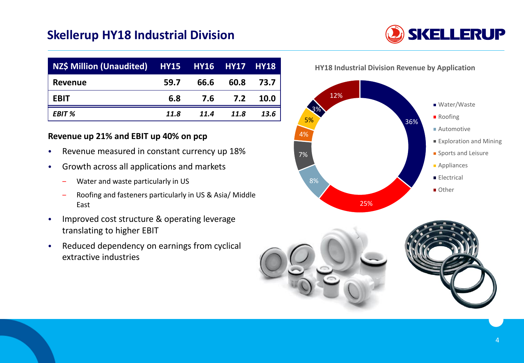### **Skellerup HY18 Industrial Division**

| NZ\$ Million (Unaudited) HY15 HY16 HY17 HY18 |      |      |         |      |
|----------------------------------------------|------|------|---------|------|
| Revenue                                      | 59.7 | 66.6 | 60.8    | 73.7 |
| <b>EBIT</b>                                  | 6.8  |      | 7.6 7.2 | 10.0 |
| EBIT %                                       | 11.8 | 11.4 | 11.8    | 13.6 |

#### **Revenue up 21% and EBIT up 40% on pcp**

- Revenue measured in constant currency up 18%
- Growth across all applications and markets
	- ‒ Water and waste particularly in US
	- ‒ Roofing and fasteners particularly in US & Asia/ Middle East
- Improved cost structure & operating leverage translating to higher EBIT
- Reduced dependency on earnings from cyclical extractive industries









**HY18 Industrial Division Revenue by Application**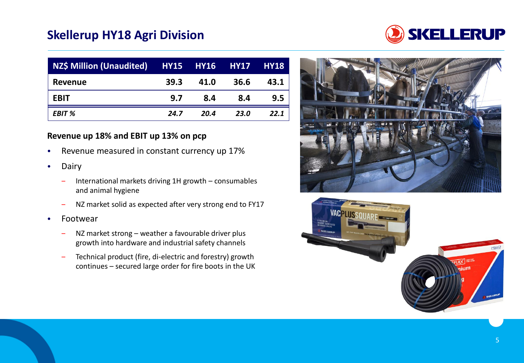### **Skellerup HY18 Agri Division**



| NZ\$ Million (Unaudited) HY15 HY16 HY17 |      |      |      | <b>HY18</b> |
|-----------------------------------------|------|------|------|-------------|
| <b>Revenue</b>                          | 39.3 | 41.0 | 36.6 | 43.1        |
| <b>EBIT</b>                             | 9.7  | 8.4  | 8.4  | 9.5         |
| EBIT %                                  | 24.7 | 20.4 | 23.0 | 22.1        |

#### **Revenue up 18% and EBIT up 13% on pcp**

- Revenue measured in constant currency up 17%
- **Dairy** 
	- ‒ International markets driving 1H growth consumables and animal hygiene
	- NZ market solid as expected after very strong end to FY17
- Footwear
	- NZ market strong weather a favourable driver plus growth into hardware and industrial safety channels
	- ‒ Technical product (fire, di-electric and forestry) growth continues – secured large order for fire boots in the UK



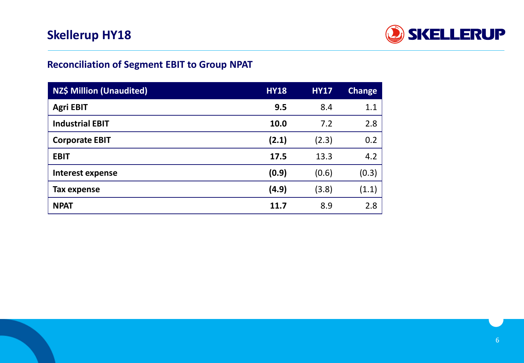

### **Reconciliation of Segment EBIT to Group NPAT**

| <b>NZ\$ Million (Unaudited)</b> | <b>HY18</b> | <b>HY17</b> | <b>Change</b> |
|---------------------------------|-------------|-------------|---------------|
| <b>Agri EBIT</b>                | 9.5         | 8.4         | 1.1           |
| <b>Industrial EBIT</b>          | 10.0        | 7.2         | 2.8           |
| <b>Corporate EBIT</b>           | (2.1)       | (2.3)       | 0.2           |
| <b>EBIT</b>                     | 17.5        | 13.3        | 4.2           |
| <b>Interest expense</b>         | (0.9)       | (0.6)       | (0.3)         |
| Tax expense                     | (4.9)       | (3.8)       | (1.1)         |
| <b>NPAT</b>                     | 11.7        | 8.9         | 2.8           |